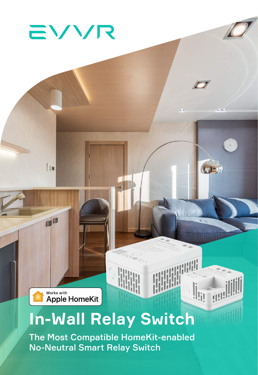

Lin

**OB** CB

EVVR

# **In-Wall Relay Switch**

C

**IGE** 

 $\boxed{\begin{bmatrix} 1 \\ 2 \end{bmatrix}}$ 

**No-Neutral Smart Relay Switch** The Most Compatible HomeKit-enabled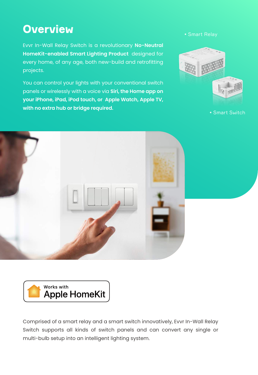#### **Overview**

Evvr In-Wall Relay Switch is a revolutionary **No-Neutral HomeKit-enabled Smart Lighting Product** designed for every home, of any age, both new-build and retrofitting projects.

You can control your lights with your conventional switch panels or wirelessly with a voice via **Siri, the Home app on your iPhone, iPad, iPod touch, or Apple Watch, Apple TV, with no extra hub or bridge required.**



• Smart Switch





Comprised of a smart relay and a smart switch innovatively, Evvr In-Wall Relay Switch supports all kinds of switch panels and can convert any single or multi-bulb setup into an intelligent lighting system.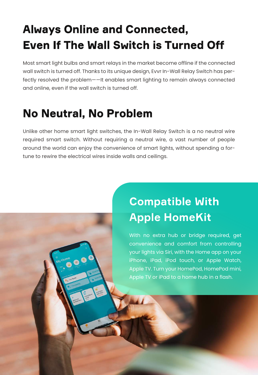## **Always Online and Connected, Even If The Wall Switch is Turned Off**

Most smart light bulbs and smart relays in the market become offline if the connected wall switch is turned off. Thanks to its unique design, Evvr In-Wall Relay Switch has perfectly resolved the problem——It enables smart lighting to remain always connected and online, even if the wall switch is turned off.

#### **No Neutral, No Problem**

**M Home** 

Unlike other home smart light switches, the In-Wall Relay Switch is a no neutral wire required smart switch. Without requiring a neutral wire, a vast number of people around the world can enjoy the convenience of smart lights, without spending a fortune to rewire the electrical wires inside walls and ceilings.

# **Compatible With Apple HomeKit**

With no extra hub or bridge required, get convenience and comfort from controlling your lights via Siri, with the Home app on your iPhone, iPad, iPod touch, or Apple Watch, Apple TV. Turn your HomePod, HomePod mini, Apple TV or iPad to a home hub in a flash.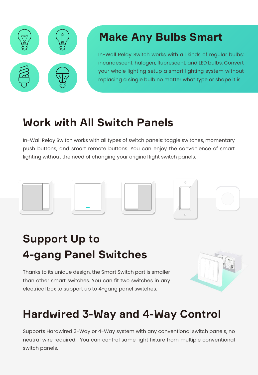

#### **Make Any Bulbs Smart**

In-Wall Relay Switch works with all kinds of regular bulbs: incandescent, halogen, fluorescent, and LED bulbs. Convert your whole lighting setup a smart lighting system without replacing a single bulb no matter what type or shape it is.

#### **Work with All Switch Panels**

In-Wall Relay Switch works with all types of switch panels: toggle switches, momentary push buttons, and smart remote buttons. You can enjoy the convenience of smart lighting without the need of changing your original light switch panels.



# **Support Up to 4-gang Panel Switches**

Thanks to its unique design, the Smart Switch part is smaller than other smart switches. You can fit two switches in any electrical box to support up to 4-gang panel switches.



### **Hardwired 3-Way and 4-Way Control**

Supports Hardwired 3-Way or 4-Way system with any conventional switch panels, no neutral wire required. You can control same light fixture from multiple conventional switch panels.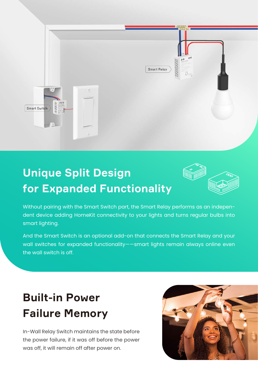

#### **Unique Split Design for Expanded Functionality**



Without pairing with the Smart Switch part, the Smart Relay performs as an independent device adding HomeKit connectivity to your lights and turns regular bulbs into smart lighting.

And the Smart Switch is an optional add-on that connects the Smart Relay and your wall switches for expanded functionality——smart lights remain always online even the wall switch is off.

### **Built-in Power Failure Memory**

In-Wall Relay Switch maintains the state before the power failure, if it was off before the power was off, it will remain off after power on.

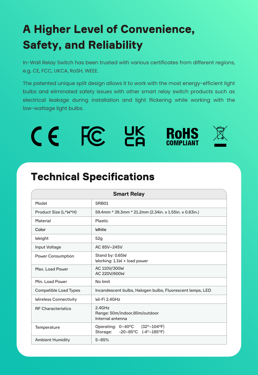# **A Higher Level of Convenience, Safety, and Reliability**

In-Wall Relay Switch has been trusted with various certificates from different regions, e.g. CE, FCC, UKCA, RoSH, WEEE.

The patented unique split design allows it to work with the most energy-efficient light bulbs and eliminated safety issues with other smart relay switch products such as electrical leakage during installation and light flickering while working with the low-wattage light bulbs.

| ΞQ<br><b>COMPLIANT</b> |  | <b>TA</b> | UK | <b>RoHS</b> |  |
|------------------------|--|-----------|----|-------------|--|
|------------------------|--|-----------|----|-------------|--|

#### **Technical Specifications**

| <b>Smart Relay</b>           |                                                                                                           |  |  |  |
|------------------------------|-----------------------------------------------------------------------------------------------------------|--|--|--|
| Model                        | SRB01                                                                                                     |  |  |  |
| Product Size (L*W*H)         | 59.4mm * 39.3mm * 21.2mm (2.34in. x 1.55in. x 0.83in.)                                                    |  |  |  |
| <b>Material</b>              | <b>Plastic</b>                                                                                            |  |  |  |
| Color                        | <b>White</b>                                                                                              |  |  |  |
| Weight                       | 52g                                                                                                       |  |  |  |
| <b>Input Voltage</b>         | AC 85V~245V                                                                                               |  |  |  |
| <b>Power Consumption</b>     | Stand by: 0.65W<br>Working: 1.1W + load power                                                             |  |  |  |
| Max. Load Power              | AC 110V/300W<br>AC 220V/600W                                                                              |  |  |  |
| <b>Min. Load Power</b>       | No limit                                                                                                  |  |  |  |
| <b>Compatible Load Types</b> | Incandescent bulbs, Halogen bulbs, Fluorescent lamps, LED                                                 |  |  |  |
| <b>Wireless Connectivity</b> | Wi-Fi 2.4GHz                                                                                              |  |  |  |
| <b>RF Characteristics</b>    | 2.4GHz<br>Range: 50m/indoor,80m/outdoor<br>Internal antenna                                               |  |  |  |
| <b>Temperature</b>           | $(32^{\circ}~104^{\circ}F)$<br>Operating: 0~40°C<br>$(-4^{\circ}~185^{\circ}F)$<br>Storage:<br>$-20~85°C$ |  |  |  |
| <b>Ambient Humidity</b>      | $5 - 85%$                                                                                                 |  |  |  |